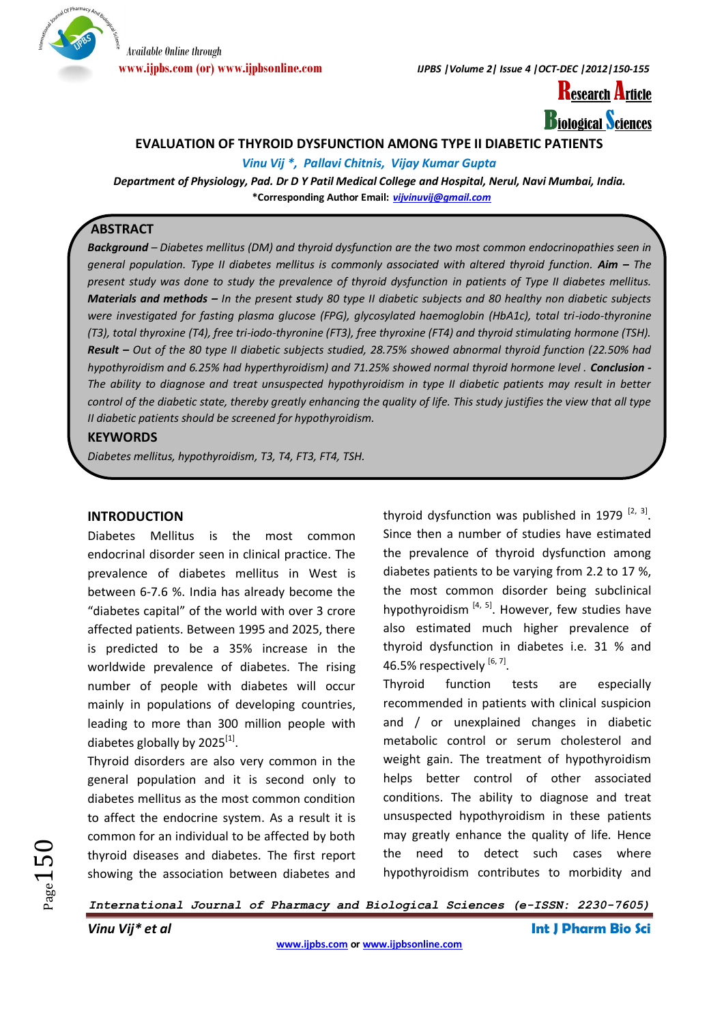

**www.ijpbs.com (or) www.ijpbsonline.com** *IJPBS |Volume 2| Issue 4 |OCT-DEC |2012|150-155*



# **EVALUATION OF THYROID DYSFUNCTION AMONG TYPE II DIABETIC PATIENTS**

*Vinu Vij \*, Pallavi Chitnis, Vijay Kumar Gupta*

*Department of Physiology, Pad. Dr D Y Patil Medical College and Hospital, Nerul, Navi Mumbai, India.* **\*Corresponding Author Email:** *[vijvinuvij@gmail.com](mailto:vijvinuvij@gmail.com)*

# **ABSTRACT**

*Background – Diabetes mellitus (DM) and thyroid dysfunction are the two most common endocrinopathies seen in general population. Type II diabetes mellitus is commonly associated with altered thyroid function. Aim – The present study was done to study the prevalence of thyroid dysfunction in patients of Type II diabetes mellitus. Materials and methods – In the present study 80 type II diabetic subjects and 80 healthy non diabetic subjects were investigated for fasting plasma glucose (FPG), glycosylated haemoglobin (HbA1c), total tri-iodo-thyronine (T3), total thyroxine (T4), free tri-iodo-thyronine (FT3), free thyroxine (FT4) and thyroid stimulating hormone (TSH). Result – Out of the 80 type II diabetic subjects studied, 28.75% showed abnormal thyroid function (22.50% had hypothyroidism and 6.25% had hyperthyroidism) and 71.25% showed normal thyroid hormone level . Conclusion - The ability to diagnose and treat unsuspected hypothyroidism in type II diabetic patients may result in better control of the diabetic state, thereby greatly enhancing the quality of life. This study justifies the view that all type II diabetic patients should be screened for hypothyroidism.*

# **KEYWORDS**

*Diabetes mellitus, hypothyroidism, T3, T4, FT3, FT4, TSH.*

# **INTRODUCTION**

Diabetes Mellitus is the most common endocrinal disorder seen in clinical practice. The prevalence of diabetes mellitus in West is between 6-7.6 %. India has already become the "diabetes capital" of the world with over 3 crore affected patients. Between 1995 and 2025, there is predicted to be a 35% increase in the worldwide prevalence of diabetes. The rising number of people with diabetes will occur mainly in populations of developing countries, leading to more than 300 million people with diabetes globally by 2025<sup>[1]</sup>.

Thyroid disorders are also very common in the general population and it is second only to diabetes mellitus as the most common condition to affect the endocrine system. As a result it is common for an individual to be affected by both thyroid diseases and diabetes. The first report showing the association between diabetes and

thyroid dysfunction was published in 1979  $[2, 3]$ . Since then a number of studies have estimated the prevalence of thyroid dysfunction among diabetes patients to be varying from 2.2 to 17 %, the most common disorder being subclinical hypothyroidism  $[4, 5]$ . However, few studies have also estimated much higher prevalence of thyroid dysfunction in diabetes i.e. 31 % and 46.5% respectively  $[6, 7]$ .

Thyroid function tests are especially recommended in patients with clinical suspicion and / or unexplained changes in diabetic metabolic control or serum cholesterol and weight gain. The treatment of hypothyroidism helps better control of other associated conditions. The ability to diagnose and treat unsuspected hypothyroidism in these patients may greatly enhance the quality of life. Hence the need to detect such cases where hypothyroidism contributes to morbidity and

*International Journal of Pharmacy and Biological Sciences (e-ISSN: 2230-7605)*

 $Page150$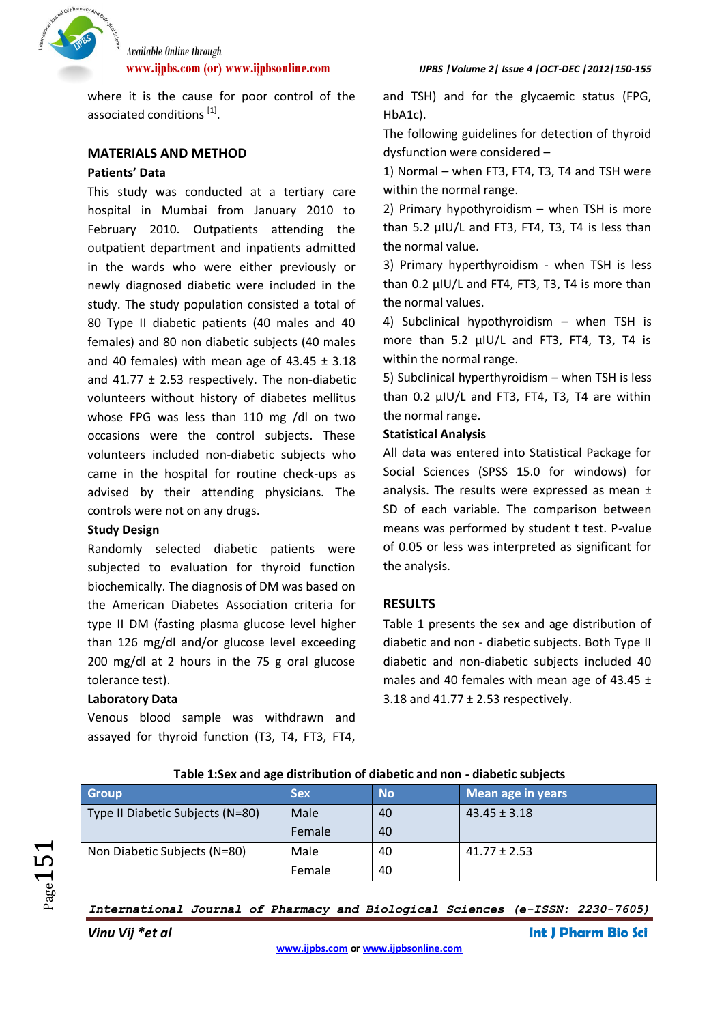

**www.ijpbs.com (or) www.ijpbsonline.com** *IJPBS |Volume 2| Issue 4 |OCT-DEC |2012|150-155*

where it is the cause for poor control of the associated conditions [1].

# **MATERIALS AND METHOD**

# **Patients' Data**

This study was conducted at a tertiary care hospital in Mumbai from January 2010 to February 2010. Outpatients attending the outpatient department and inpatients admitted in the wards who were either previously or newly diagnosed diabetic were included in the study. The study population consisted a total of 80 Type II diabetic patients (40 males and 40 females) and 80 non diabetic subjects (40 males and 40 females) with mean age of  $43.45 \pm 3.18$ and 41.77  $\pm$  2.53 respectively. The non-diabetic volunteers without history of diabetes mellitus whose FPG was less than 110 mg /dl on two occasions were the control subjects. These volunteers included non-diabetic subjects who came in the hospital for routine check-ups as advised by their attending physicians. The controls were not on any drugs.

# **Study Design**

Randomly selected diabetic patients were subjected to evaluation for thyroid function biochemically. The diagnosis of DM was based on the American Diabetes Association criteria for type II DM (fasting plasma glucose level higher than 126 mg/dl and/or glucose level exceeding 200 mg/dl at 2 hours in the 75 g oral glucose tolerance test).

### **Laboratory Data**

Venous blood sample was withdrawn and assayed for thyroid function (T3, T4, FT3, FT4,

Type II Diabetic Subjects (N=80) Male

Non Diabetic Subjects (N=80) Male

and TSH) and for the glycaemic status (FPG, HbA1c).

The following guidelines for detection of thyroid dysfunction were considered –

1) Normal – when FT3, FT4, T3, T4 and TSH were within the normal range.

2) Primary hypothyroidism – when TSH is more than 5.2 μIU/L and FT3, FT4, T3, T4 is less than the normal value.

3) Primary hyperthyroidism - when TSH is less than 0.2 μIU/L and FT4, FT3, T3, T4 is more than the normal values.

4) Subclinical hypothyroidism – when TSH is more than 5.2 μIU/L and FT3, FT4, T3, T4 is within the normal range.

5) Subclinical hyperthyroidism – when TSH is less than 0.2 μIU/L and FT3, FT4, T3, T4 are within the normal range.

# **Statistical Analysis**

All data was entered into Statistical Package for Social Sciences (SPSS 15.0 for windows) for analysis. The results were expressed as mean ± SD of each variable. The comparison between means was performed by student t test. P-value of 0.05 or less was interpreted as significant for the analysis.

# **RESULTS**

Table 1 presents the sex and age distribution of diabetic and non - diabetic subjects. Both Type II diabetic and non-diabetic subjects included 40 males and 40 females with mean age of 43.45  $\pm$ 3.18 and  $41.77 \pm 2.53$  respectively.

 $43.45 + 3.18$ 

 $41.77 \pm 2.53$ 

| age |  |
|-----|--|
|     |  |
|     |  |

40 40

40 40

**Group Sex No Mean age in years** 

Female

Female

*International Journal of Pharmacy and Biological Sciences (e-ISSN: 2230-7605)*

*Vinu Vij \*et al* **Int J Pharm Bio Sci**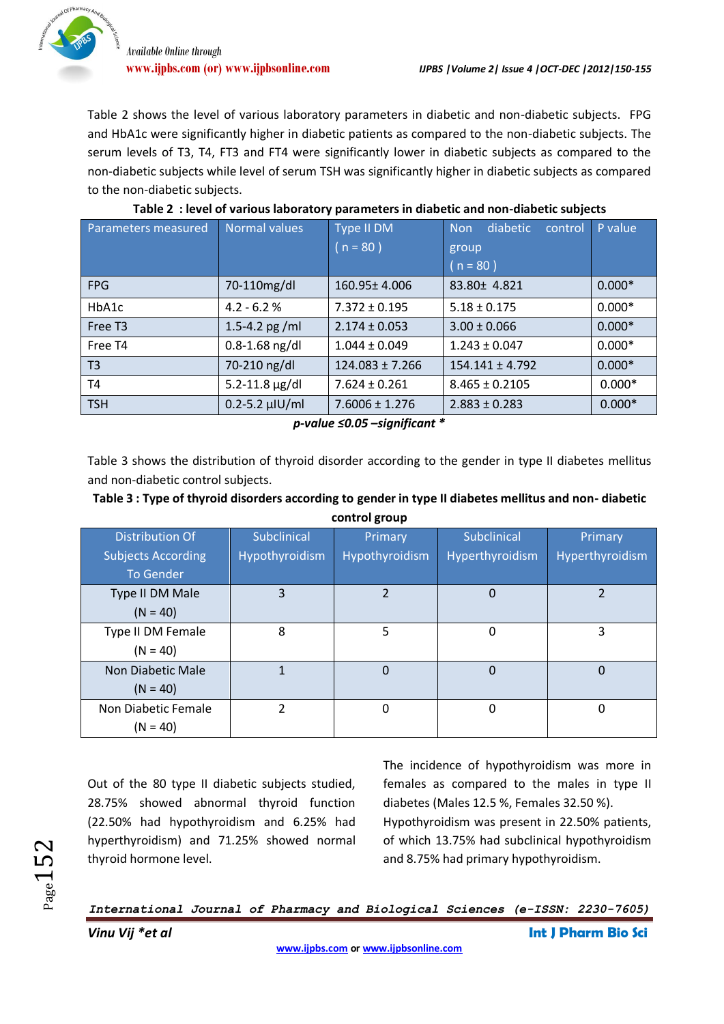VOf Pharmacy

Table 2 shows the level of various laboratory parameters in diabetic and non-diabetic subjects. FPG and HbA1c were significantly higher in diabetic patients as compared to the non-diabetic subjects. The serum levels of T3, T4, FT3 and FT4 were significantly lower in diabetic subjects as compared to the non-diabetic subjects while level of serum TSH was significantly higher in diabetic subjects as compared to the non-diabetic subjects.

| Parameters measured | Normal values           | Type II DM          | diabetic<br><b>Non</b><br>control | P value  |
|---------------------|-------------------------|---------------------|-----------------------------------|----------|
|                     |                         | $(n = 80)$          | group                             |          |
|                     |                         |                     | $n = 80$ )                        |          |
| <b>FPG</b>          | 70-110mg/dl             | $160.95 \pm 4.006$  | 83.80± 4.821                      | $0.000*$ |
| HbA1c               | $4.2 - 6.2 %$           | $7.372 \pm 0.195$   | $5.18 \pm 0.175$                  | $0.000*$ |
| Free T <sub>3</sub> | 1.5-4.2 pg /ml          | $2.174 \pm 0.053$   | $3.00 \pm 0.066$                  | $0.000*$ |
| Free T4             | $0.8 - 1.68$ ng/dl      | $1.044 \pm 0.049$   | $1.243 \pm 0.047$                 | $0.000*$ |
| T <sub>3</sub>      | 70-210 ng/dl            | $124.083 \pm 7.266$ | $154.141 \pm 4.792$               | $0.000*$ |
| T4                  | $5.2 - 11.8 \,\mu g/dl$ | $7.624 \pm 0.261$   | $8.465 \pm 0.2105$                | $0.000*$ |
| <b>TSH</b>          | $0.2 - 5.2$ µlU/ml      | $7.6006 \pm 1.276$  | $2.883 \pm 0.283$                 | $0.000*$ |

|  |  |  |  | Table 2 : level of various laboratory parameters in diabetic and non-diabetic subjects |  |
|--|--|--|--|----------------------------------------------------------------------------------------|--|
|--|--|--|--|----------------------------------------------------------------------------------------|--|

*p-value ≤0.05 –significant \**

Table 3 shows the distribution of thyroid disorder according to the gender in type II diabetes mellitus and non-diabetic control subjects.

| Table 3 : Type of thyroid disorders according to gender in type II diabetes mellitus and non-diabetic |
|-------------------------------------------------------------------------------------------------------|
| control group                                                                                         |

| Distribution Of<br><b>Subjects According</b><br><b>To Gender</b> | Subclinical<br>Hypothyroidism | Primary<br>Hypothyroidism | Subclinical<br>Hyperthyroidism | Primary<br>Hyperthyroidism |
|------------------------------------------------------------------|-------------------------------|---------------------------|--------------------------------|----------------------------|
| Type II DM Male<br>$(N = 40)$                                    | 3                             | $\overline{2}$            | 0                              | 2                          |
| Type II DM Female<br>$(N = 40)$                                  | 8                             | 5                         | 0                              | 3                          |
| Non Diabetic Male<br>$(N = 40)$                                  |                               | $\Omega$                  | 0                              | 0                          |
| Non Diabetic Female<br>$(N = 40)$                                | 2                             | 0                         | $\Omega$                       | $\Omega$                   |

Out of the 80 type II diabetic subjects studied, 28.75% showed abnormal thyroid function (22.50% had hypothyroidism and 6.25% had hyperthyroidism) and 71.25% showed normal thyroid hormone level.

The incidence of hypothyroidism was more in females as compared to the males in type II diabetes (Males 12.5 %, Females 32.50 %). Hypothyroidism was present in 22.50% patients, of which 13.75% had subclinical hypothyroidism and 8.75% had primary hypothyroidism.

*International Journal of Pharmacy and Biological Sciences (e-ISSN: 2230-7605)*

 $_{\rm Page}152$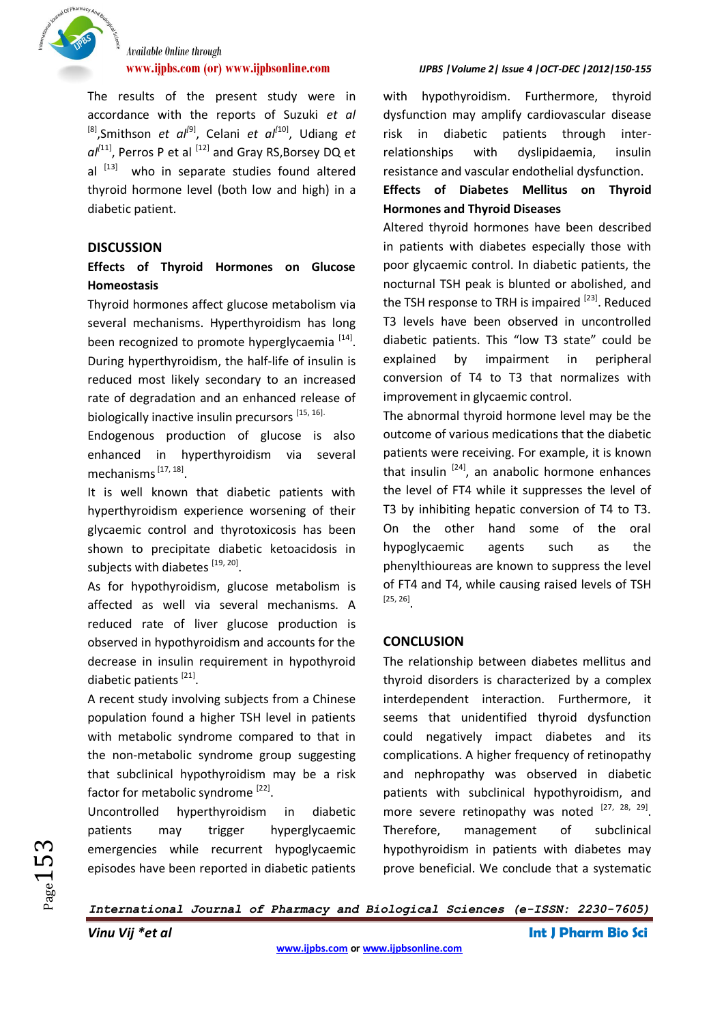

The results of the present study were in accordance with the reports of Suzuki *et al* <sup>[8]</sup>, Smithson *et al*<sup>[9]</sup>, Celani *et al*<sup>[10]</sup>, Udiang *et* al<sup>[11]</sup>, Perros P et al <sup>[12]</sup> and Gray RS,Borsey DQ et al <sup>[13]</sup> who in separate studies found altered thyroid hormone level (both low and high) in a diabetic patient.

# **DISCUSSION**

# **Effects of Thyroid Hormones on Glucose Homeostasis**

Thyroid hormones affect glucose metabolism via several mechanisms. Hyperthyroidism has long been recognized to promote hyperglycaemia [14]. During hyperthyroidism, the half-life of insulin is reduced most likely secondary to an increased rate of degradation and an enhanced release of biologically inactive insulin precursors [15, 16].

Endogenous production of glucose is also enhanced in hyperthyroidism via several mechanisms<sup>[17, 18]</sup>.

It is well known that diabetic patients with hyperthyroidism experience worsening of their glycaemic control and thyrotoxicosis has been shown to precipitate diabetic ketoacidosis in subjects with diabetes [19, 20].

As for hypothyroidism, glucose metabolism is affected as well via several mechanisms. A reduced rate of liver glucose production is observed in hypothyroidism and accounts for the decrease in insulin requirement in hypothyroid diabetic patients<sup>[21]</sup>.

A recent study involving subjects from a Chinese population found a higher TSH level in patients with metabolic syndrome compared to that in the non-metabolic syndrome group suggesting that subclinical hypothyroidism may be a risk factor for metabolic syndrome [22].

Uncontrolled hyperthyroidism in diabetic patients may trigger hyperglycaemic emergencies while recurrent hypoglycaemic episodes have been reported in diabetic patients

### **www.ijpbs.com (or) www.ijpbsonline.com** *IJPBS |Volume 2| Issue 4 |OCT-DEC |2012|150-155*

with hypothyroidism. Furthermore, thyroid dysfunction may amplify cardiovascular disease risk in diabetic patients through interrelationships with dyslipidaemia, insulin resistance and vascular endothelial dysfunction.

# **Effects of Diabetes Mellitus on Thyroid Hormones and Thyroid Diseases**

Altered thyroid hormones have been described in patients with diabetes especially those with poor glycaemic control. In diabetic patients, the nocturnal TSH peak is blunted or abolished, and the TSH response to TRH is impaired  $[23]$ . Reduced T3 levels have been observed in uncontrolled diabetic patients. This "low T3 state" could be explained by impairment in peripheral conversion of T4 to T3 that normalizes with improvement in glycaemic control.

The abnormal thyroid hormone level may be the outcome of various medications that the diabetic patients were receiving. For example, it is known that insulin  $[24]$ , an anabolic hormone enhances the level of FT4 while it suppresses the level of T3 by inhibiting hepatic conversion of T4 to T3. On the other hand some of the oral hypoglycaemic agents such as the phenylthioureas are known to suppress the level of FT4 and T4, while causing raised levels of TSH [25, 26] .

# **CONCLUSION**

The relationship between diabetes mellitus and thyroid disorders is characterized by a complex interdependent interaction. Furthermore, it seems that unidentified thyroid dysfunction could negatively impact diabetes and its complications. A higher frequency of retinopathy and nephropathy was observed in diabetic patients with subclinical hypothyroidism, and more severe retinopathy was noted  $[27, 28, 29]$ . Therefore, management of subclinical hypothyroidism in patients with diabetes may prove beneficial. We conclude that a systematic

*International Journal of Pharmacy and Biological Sciences (e-ISSN: 2230-7605)*

 $Page153$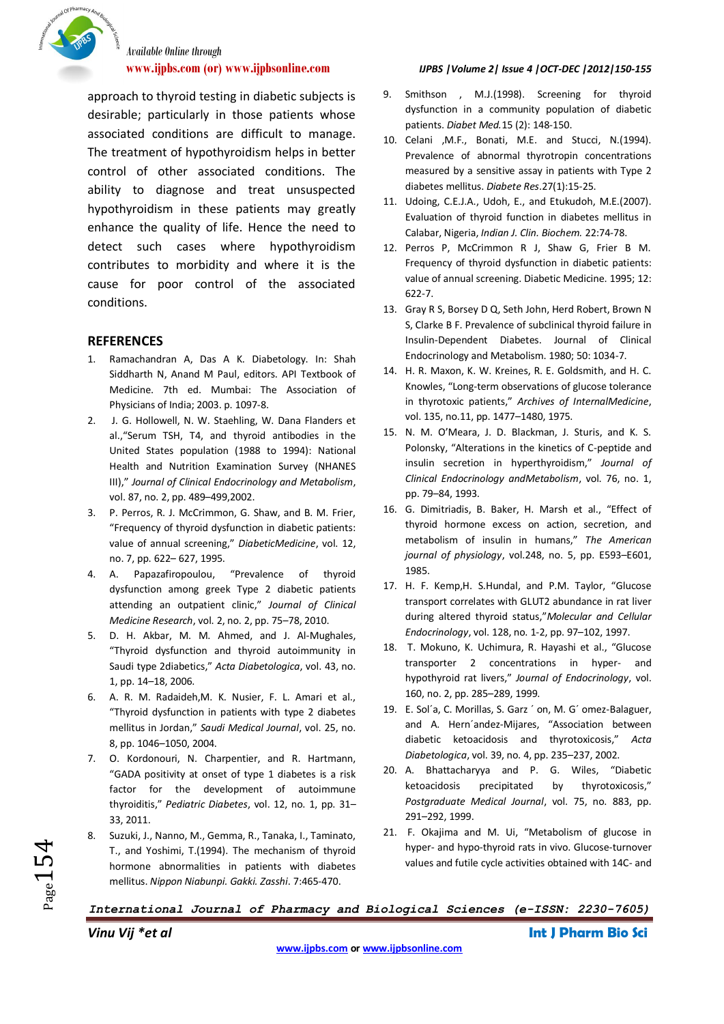

approach to thyroid testing in diabetic subjects is desirable; particularly in those patients whose associated conditions are difficult to manage. The treatment of hypothyroidism helps in better control of other associated conditions. The ability to diagnose and treat unsuspected hypothyroidism in these patients may greatly enhance the quality of life. Hence the need to detect such cases where hypothyroidism contributes to morbidity and where it is the cause for poor control of the associated conditions.

#### **REFERENCES**

- 1. Ramachandran A, Das A K. Diabetology. In: Shah Siddharth N, Anand M Paul, editors. API Textbook of Medicine. 7th ed. Mumbai: The Association of Physicians of India; 2003. p. 1097-8.
- 2. J. G. Hollowell, N. W. Staehling, W. Dana Flanders et al.,"Serum TSH, T4, and thyroid antibodies in the United States population (1988 to 1994): National Health and Nutrition Examination Survey (NHANES III)," *Journal of Clinical Endocrinology and Metabolism*, vol. 87, no. 2, pp. 489–499,2002.
- 3. P. Perros, R. J. McCrimmon, G. Shaw, and B. M. Frier, "Frequency of thyroid dysfunction in diabetic patients: value of annual screening," *DiabeticMedicine*, vol. 12, no. 7, pp. 622– 627, 1995.
- 4. A. Papazafiropoulou, "Prevalence of thyroid dysfunction among greek Type 2 diabetic patients attending an outpatient clinic," *Journal of Clinical Medicine Research*, vol. 2, no. 2, pp. 75–78, 2010.
- 5. D. H. Akbar, M. M. Ahmed, and J. Al-Mughales, "Thyroid dysfunction and thyroid autoimmunity in Saudi type 2diabetics," *Acta Diabetologica*, vol. 43, no. 1, pp. 14–18, 2006.
- 6. A. R. M. Radaideh,M. K. Nusier, F. L. Amari et al., "Thyroid dysfunction in patients with type 2 diabetes mellitus in Jordan," *Saudi Medical Journal*, vol. 25, no. 8, pp. 1046–1050, 2004.
- 7. O. Kordonouri, N. Charpentier, and R. Hartmann, "GADA positivity at onset of type 1 diabetes is a risk factor for the development of autoimmune thyroiditis," *Pediatric Diabetes*, vol. 12, no. 1, pp. 31– 33, 2011.
- 8. Suzuki, J., Nanno, M., Gemma, R., Tanaka, I., Taminato, T., and Yoshimi, T.(1994). The mechanism of thyroid hormone abnormalities in patients with diabetes mellitus. *Nippon Niabunpi. Gakki. Zasshi*. 7:465-470.

### **www.ijpbs.com (or) www.ijpbsonline.com** *IJPBS |Volume 2| Issue 4 |OCT-DEC |2012|150-155*

- 9. Smithson , M.J.(1998). Screening for thyroid dysfunction in a community population of diabetic patients. *Diabet Med.*15 (2): 148-150.
- 10. Celani ,M.F., Bonati, M.E. and Stucci, N.(1994). Prevalence of abnormal thyrotropin concentrations measured by a sensitive assay in patients with Type 2 diabetes mellitus. *Diabete Res*.27(1):15-25.
- 11. Udoing, C.E.J.A., Udoh, E., and Etukudoh, M.E.(2007). Evaluation of thyroid function in diabetes mellitus in Calabar, Nigeria, *Indian J. Clin. Biochem.* 22:74-78.
- 12. Perros P, McCrimmon R J, Shaw G, Frier B M. Frequency of thyroid dysfunction in diabetic patients: value of annual screening. Diabetic Medicine. 1995; 12: 622-7.
- 13. Gray R S, Borsey D Q, Seth John, Herd Robert, Brown N S, Clarke B F. Prevalence of subclinical thyroid failure in Insulin-Dependent Diabetes. Journal of Clinical Endocrinology and Metabolism. 1980; 50: 1034-7.
- 14. H. R. Maxon, K. W. Kreines, R. E. Goldsmith, and H. C. Knowles, "Long-term observations of glucose tolerance in thyrotoxic patients," *Archives of InternalMedicine*, vol. 135, no.11, pp. 1477–1480, 1975.
- 15. N. M. O'Meara, J. D. Blackman, J. Sturis, and K. S. Polonsky, "Alterations in the kinetics of C-peptide and insulin secretion in hyperthyroidism," *Journal of Clinical Endocrinology andMetabolism*, vol. 76, no. 1, pp. 79–84, 1993.
- 16. G. Dimitriadis, B. Baker, H. Marsh et al., "Effect of thyroid hormone excess on action, secretion, and metabolism of insulin in humans," *The American journal of physiology*, vol.248, no. 5, pp. E593–E601, 1985.
- 17. H. F. Kemp,H. S.Hundal, and P.M. Taylor, "Glucose transport correlates with GLUT2 abundance in rat liver during altered thyroid status,"*Molecular and Cellular Endocrinology*, vol. 128, no. 1-2, pp. 97–102, 1997.
- 18. T. Mokuno, K. Uchimura, R. Hayashi et al., "Glucose transporter 2 concentrations in hyper- and hypothyroid rat livers," *Journal of Endocrinology*, vol. 160, no. 2, pp. 285–289, 1999.
- 19. E. Sol´a, C. Morillas, S. Garz ´ on, M. G´ omez-Balaguer, and A. Hern´andez-Mijares, "Association between diabetic ketoacidosis and thyrotoxicosis," *Acta Diabetologica*, vol. 39, no. 4, pp. 235–237, 2002.
- 20. A. Bhattacharyya and P. G. Wiles, "Diabetic ketoacidosis precipitated by thyrotoxicosis," *Postgraduate Medical Journal*, vol. 75, no. 883, pp. 291–292, 1999.
- 21. F. Okajima and M. Ui, "Metabolism of glucose in hyper- and hypo-thyroid rats in vivo. Glucose-turnover values and futile cycle activities obtained with 14C- and

*International Journal of Pharmacy and Biological Sciences (e-ISSN: 2230-7605)*

 $Page154$ 

*Vinu Vij \*et al* **Int J Pharm Bio Sci**